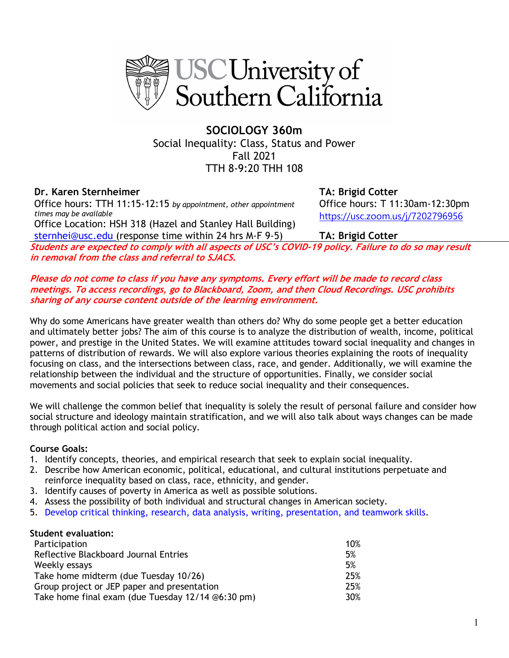

**SOCIOLOGY 360m**  Social Inequality: Class, Status and Power Fall 2021 TTH 8-9:20 THH 108

# **Dr. Karen Sternheimer TA: Brigid Cotter**

Office hours: TTH 11:15-12:15 *by appointment, other appointment times may be available*

Office Location: HSH 318 (Hazel and Stanley Hall Building) sternhei@usc.edu (response time within 24 hrs M-F 9-5) **TA: Brigid Cotter**

Office hours: T 11:30am-12:30pm https://usc.zoom.us/j/7202796956

**Students are expected to comply with all aspects of USC's COVID-19 policy. Failure to do so may result in removal from the class and referral to SJACS.**

**Please do not come to class if you have any symptoms. Every effort will be made to record class meetings. To access recordings, go to Blackboard, Zoom, and then Cloud Recordings. USC prohibits sharing of any course content outside of the learning environment.**

Why do some Americans have greater wealth than others do? Why do some people get a better education and ultimately better jobs? The aim of this course is to analyze the distribution of wealth, income, political power, and prestige in the United States. We will examine attitudes toward social inequality and changes in patterns of distribution of rewards. We will also explore various theories explaining the roots of inequality focusing on class, and the intersections between class, race, and gender. Additionally, we will examine the relationship between the individual and the structure of opportunities. Finally, we consider social movements and social policies that seek to reduce social inequality and their consequences.

We will challenge the common belief that inequality is solely the result of personal failure and consider how social structure and ideology maintain stratification, and we will also talk about ways changes can be made through political action and social policy.

### **Course Goals:**

- 1. Identify concepts, theories, and empirical research that seek to explain social inequality.
- 2. Describe how American economic, political, educational, and cultural institutions perpetuate and reinforce inequality based on class, race, ethnicity, and gender.
- 3. Identify causes of poverty in America as well as possible solutions.
- 4. Assess the possibility of both individual and structural changes in American society.
- 5. Develop critical thinking, research, data analysis, writing, presentation, and teamwork skills.

#### **Student evaluation:**

| Participation                                     | 10% |
|---------------------------------------------------|-----|
| Reflective Blackboard Journal Entries             | 5%  |
| Weekly essays                                     | 5%  |
| Take home midterm (due Tuesday 10/26)             | 25% |
| Group project or JEP paper and presentation       | 25% |
| Take home final exam (due Tuesday 12/14 @6:30 pm) | 30% |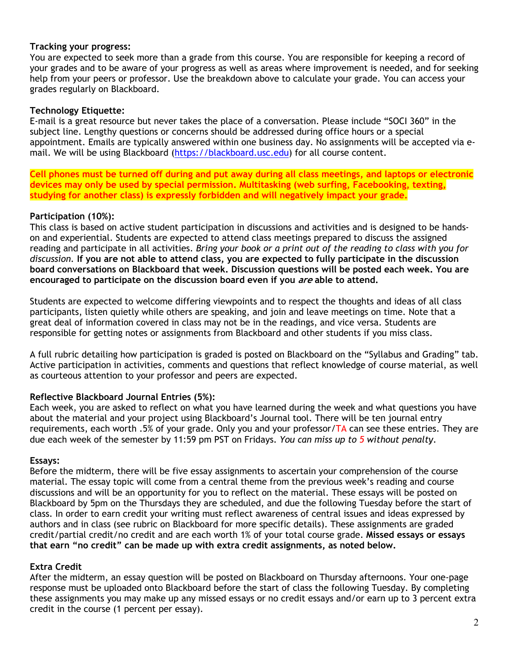### **Tracking your progress:**

You are expected to seek more than a grade from this course. You are responsible for keeping a record of your grades and to be aware of your progress as well as areas where improvement is needed, and for seeking help from your peers or professor. Use the breakdown above to calculate your grade. You can access your grades regularly on Blackboard.

### **Technology Etiquette:**

E-mail is a great resource but never takes the place of a conversation. Please include "SOCI 360" in the subject line. Lengthy questions or concerns should be addressed during office hours or a special appointment. Emails are typically answered within one business day. No assignments will be accepted via email. We will be using Blackboard (https://blackboard.usc.edu) for all course content.

**Cell phones must be turned off during and put away during all class meetings, and laptops or electronic devices may only be used by special permission. Multitasking (web surfing, Facebooking, texting, studying for another class) is expressly forbidden and will negatively impact your grade.**

## **Participation (10%):**

This class is based on active student participation in discussions and activities and is designed to be handson and experiential. Students are expected to attend class meetings prepared to discuss the assigned reading and participate in all activities. *Bring your book or a print out of the reading to class with you for discussion.* **If you are not able to attend class, you are expected to fully participate in the discussion board conversations on Blackboard that week. Discussion questions will be posted each week. You are encouraged to participate on the discussion board even if you are able to attend.**

Students are expected to welcome differing viewpoints and to respect the thoughts and ideas of all class participants, listen quietly while others are speaking, and join and leave meetings on time. Note that a great deal of information covered in class may not be in the readings, and vice versa. Students are responsible for getting notes or assignments from Blackboard and other students if you miss class.

A full rubric detailing how participation is graded is posted on Blackboard on the "Syllabus and Grading" tab. Active participation in activities, comments and questions that reflect knowledge of course material, as well as courteous attention to your professor and peers are expected.

## **Reflective Blackboard Journal Entries (5%):**

Each week, you are asked to reflect on what you have learned during the week and what questions you have about the material and your project using Blackboard's Journal tool. There will be ten journal entry requirements, each worth .5% of your grade. Only you and your professor/ $TA$  can see these entries. They are due each week of the semester by 11:59 pm PST on Fridays. *You can miss up to 5 without penalty*.

### **Essays:**

Before the midterm, there will be five essay assignments to ascertain your comprehension of the course material. The essay topic will come from a central theme from the previous week's reading and course discussions and will be an opportunity for you to reflect on the material. These essays will be posted on Blackboard by 5pm on the Thursdays they are scheduled, and due the following Tuesday before the start of class. In order to earn credit your writing must reflect awareness of central issues and ideas expressed by authors and in class (see rubric on Blackboard for more specific details). These assignments are graded credit/partial credit/no credit and are each worth 1% of your total course grade. **Missed essays or essays that earn "no credit" can be made up with extra credit assignments, as noted below.**

## **Extra Credit**

After the midterm, an essay question will be posted on Blackboard on Thursday afternoons. Your one-page response must be uploaded onto Blackboard before the start of class the following Tuesday. By completing these assignments you may make up any missed essays or no credit essays and/or earn up to 3 percent extra credit in the course (1 percent per essay).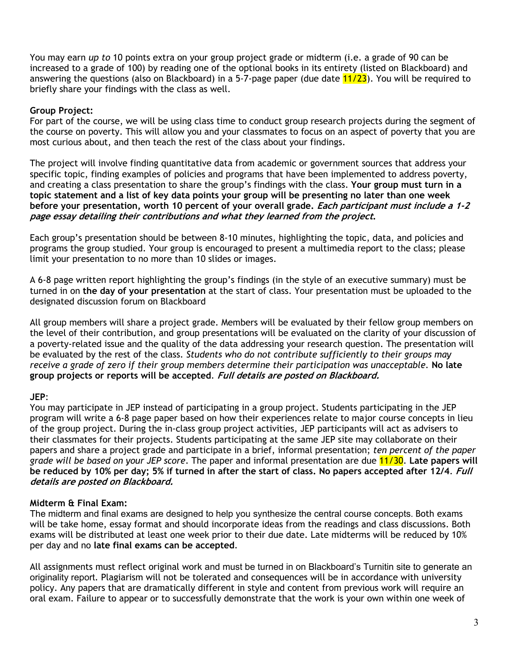You may earn *up to* 10 points extra on your group project grade or midterm (i.e. a grade of 90 can be increased to a grade of 100) by reading one of the optional books in its entirety (listed on Blackboard) and answering the questions (also on Blackboard) in a 5-7-page paper (due date  $11/23$ ). You will be required to briefly share your findings with the class as well.

## **Group Project:**

For part of the course, we will be using class time to conduct group research projects during the segment of the course on poverty. This will allow you and your classmates to focus on an aspect of poverty that you are most curious about, and then teach the rest of the class about your findings.

The project will involve finding quantitative data from academic or government sources that address your specific topic, finding examples of policies and programs that have been implemented to address poverty, and creating a class presentation to share the group's findings with the class. **Your group must turn in a topic statement and a list of key data points your group will be presenting no later than one week before your presentation, worth 10 percent of your overall grade. Each participant must include a 1-2 page essay detailing their contributions and what they learned from the project.**

Each group's presentation should be between 8-10 minutes, highlighting the topic, data, and policies and programs the group studied. Your group is encouraged to present a multimedia report to the class; please limit your presentation to no more than 10 slides or images.

A 6-8 page written report highlighting the group's findings (in the style of an executive summary) must be turned in on **the day of your presentation** at the start of class. Your presentation must be uploaded to the designated discussion forum on Blackboard

All group members will share a project grade. Members will be evaluated by their fellow group members on the level of their contribution, and group presentations will be evaluated on the clarity of your discussion of a poverty-related issue and the quality of the data addressing your research question. The presentation will be evaluated by the rest of the class. *Students who do not contribute sufficiently to their groups may receive a grade of zero if their group members determine their participation was unacceptable.* **No late group projects or reports will be accepted**. **Full details are posted on Blackboard.**

### **JEP**:

You may participate in JEP instead of participating in a group project. Students participating in the JEP program will write a 6-8 page paper based on how their experiences relate to major course concepts in lieu of the group project. During the in-class group project activities, JEP participants will act as advisers to their classmates for their projects. Students participating at the same JEP site may collaborate on their papers and share a project grade and participate in a brief, informal presentation; *ten percent of the paper grade will be based on your JEP score*. The paper and informal presentation are due 11/30. **Late papers will be reduced by 10% per day; 5% if turned in after the start of class. No papers accepted after 12/4**. **Full details are posted on Blackboard.**

## **Midterm & Final Exam:**

The midterm and final exams are designed to help you synthesize the central course concepts. Both exams will be take home, essay format and should incorporate ideas from the readings and class discussions. Both exams will be distributed at least one week prior to their due date. Late midterms will be reduced by 10% per day and no **late final exams can be accepted**.

All assignments must reflect original work and must be turned in on Blackboard's Turnitin site to generate an originality report. Plagiarism will not be tolerated and consequences will be in accordance with university policy. Any papers that are dramatically different in style and content from previous work will require an oral exam. Failure to appear or to successfully demonstrate that the work is your own within one week of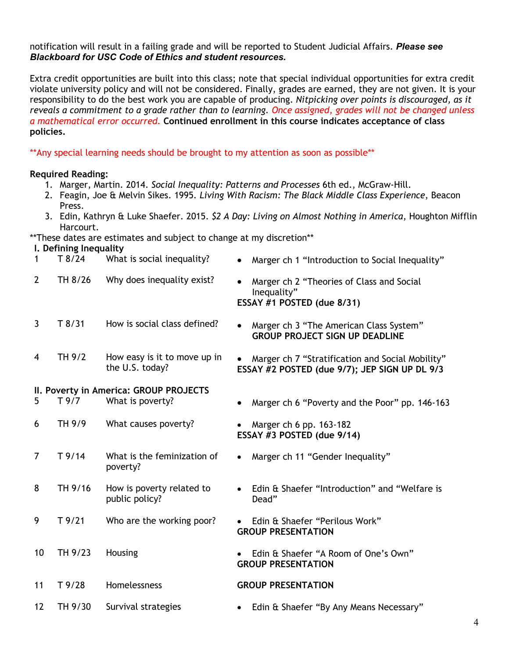#### notification will result in a failing grade and will be reported to Student Judicial Affairs. *Please see Blackboard for USC Code of Ethics and student resources.*

Extra credit opportunities are built into this class; note that special individual opportunities for extra credit violate university policy and will not be considered. Finally, grades are earned, they are not given. It is your responsibility to do the best work you are capable of producing. *Nitpicking over points is discouraged, as it reveals a commitment to a grade rather than to learning. Once assigned, grades will not be changed unless a mathematical error occurred.* **Continued enrollment in this course indicates acceptance of class policies.**

\*\*Any special learning needs should be brought to my attention as soon as possible\*\*

### **Required Reading:**

- 1. Marger, Martin. 2014. *Social Inequality: Patterns and Processes* 6th ed., McGraw-Hill.
- 2. Feagin, Joe & Melvin Sikes. 1995. *Living With Racism: The Black Middle Class Experience*, Beacon Press.
- 3. Edin, Kathryn & Luke Shaefer. 2015. *\$2 A Day: Living on Almost Nothing in America*, Houghton Mifflin Harcourt.

\*\*These dates are estimates and subject to change at my discretion\*\*

## **I. Defining Inequality**

|                | <b>Permine meggancy</b> |                                        |                                                             |
|----------------|-------------------------|----------------------------------------|-------------------------------------------------------------|
| 1              | T8/24                   | What is social inequality?             | Marger ch 1 "Introduction to Social Inequality"             |
| $\overline{2}$ | TH 8/26                 | Why does inequality exist?             | Marger ch 2 "Theories of Class and Social<br>Inequality"    |
|                |                         |                                        | ESSAY #1 POSTED (due 8/31)                                  |
| $\mathbf{3}$   | T 8/31                  | How is social class defined?           | Marger ch 3 "The American Class System"                     |
|                |                         |                                        | <b>GROUP PROJECT SIGN UP DEADLINE</b>                       |
| 4              | TH 9/2                  | How easy is it to move up in           | Marger ch 7 "Stratification and Social Mobility"            |
|                |                         | the U.S. today?                        | ESSAY #2 POSTED (due 9/7); JEP SIGN UP DL 9/3               |
|                |                         | II. Poverty in America: GROUP PROJECTS |                                                             |
| 5              | T9/7                    | What is poverty?                       | Marger ch 6 "Poverty and the Poor" pp. 146-163              |
| 6              | TH 9/9                  | What causes poverty?                   | Marger ch 6 pp. 163-182                                     |
|                |                         |                                        | ESSAY #3 POSTED (due 9/14)                                  |
| $\overline{7}$ | $T$ 9/14                | What is the feminization of            | Marger ch 11 "Gender Inequality"                            |
|                |                         | poverty?                               |                                                             |
| 8              | TH 9/16                 | How is poverty related to              | Edin & Shaefer "Introduction" and "Welfare is               |
|                |                         | public policy?                         | Dead"                                                       |
| 9              | T9/21                   | Who are the working poor?              | Edin & Shaefer "Perilous Work"<br><b>GROUP PRESENTATION</b> |
|                |                         |                                        |                                                             |
| 10             | TH 9/23                 | Housing                                | Edin & Shaefer "A Room of One's Own"                        |
|                |                         |                                        | <b>GROUP PRESENTATION</b>                                   |
| 11             | T9/28                   | Homelessness                           | <b>GROUP PRESENTATION</b>                                   |
| 12             | TH 9/30                 | Survival strategies                    | Edin & Shaefer "By Any Means Necessary"                     |
|                |                         |                                        |                                                             |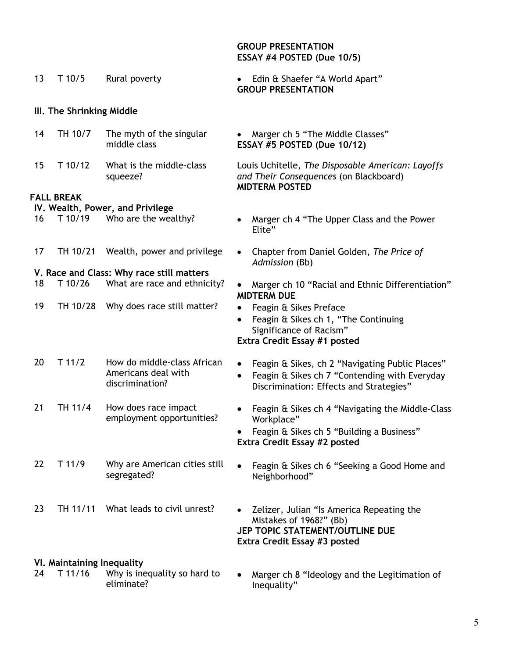| 13                               | T 10/5           | Rural poverty                            | • Edin & Shaefer "A World Apart"<br><b>GROUP PRESENTATION</b>                                                        |  |  |
|----------------------------------|------------------|------------------------------------------|----------------------------------------------------------------------------------------------------------------------|--|--|
| III. The Shrinking Middle        |                  |                                          |                                                                                                                      |  |  |
| 14                               | TH 10/7          | The myth of the singular<br>middle class | • Marger ch 5 "The Middle Classes"<br>ESSAY #5 POSTED (Due 10/12)                                                    |  |  |
| 15 <sub>1</sub>                  | T 10/12          | What is the middle-class<br>squeeze?     | Louis Uchitelle, The Disposable American: Layoffs<br>and Their Consequences (on Blackboard)<br><b>MIDTERM POSTED</b> |  |  |
|                                  | <b>ALL BREAK</b> |                                          |                                                                                                                      |  |  |
| IV. Wealth, Power, and Privilege |                  |                                          |                                                                                                                      |  |  |
|                                  |                  | 16 T 10/19 Who are the wealthy?          | Marger ch 4 "The Upper Class and the Power"<br>$\bullet$<br>Elite"                                                   |  |  |
| 17                               |                  | TH 10/21 Wealth, power and privilege     | Chapter from Daniel Golden, The Price of<br>$\bullet$<br>Admission (Bb)                                              |  |  |
|                                  |                  | V Race and Class: Why race still matters |                                                                                                                      |  |  |

- 18 T 10/26 What are race and ethnicity? Marger ch 10 "Racial and Ethnic Differentiation" **MIDTERM DUE**
	-
	- Feagin & Sikes ch 1, "The Continuing Significance of Racism"

## **Extra Credit Essay #1 posted**

- Feagin & Sikes, ch 2 "Navigating Public Places"
- Feagin & Sikes ch 7 "Contending with Everyday Discrimination: Effects and Strategies"
- Feagin & Sikes ch 4 "Navigating the Middle-Class Workplace"
- Feagin & Sikes ch 5 "Building a Business" **Extra Credit Essay #2 posted**
- Why are American cities still  $\bullet$  Feagin & Sikes ch 6 "Seeking a Good Home and segregated? Neighborhood"
- 23 TH 11/11 What leads to civil unrest? Zelizer, Julian "Is America Repeating the Mistakes of 1968?" (Bb) **JEP TOPIC STATEMENT/OUTLINE DUE Extra Credit Essay #3 posted**

Inequality"

• Marger ch 8 "Ideology and the Legitimation of

# **VI. Maintaining Inequality**

24 T 11/16 Why is inequality so hard to eliminate?

#### **GROUP PRESENTATION ESSAY #4 POSTED (Due 10/5)**

### **III. The Shrinking Midd**

**FALL BREAK**

**V. Race and Class: Why race still matters** 

- 
- 19 TH 10/28 Why does race still matter? Feagin & Sikes Preface
- 20 T 11/2 How do middle-class African Americans deal with discrimination?
- 21 TH 11/4 How does race impact employment opportunities?
- 22 T 11/9 Why are American cities still
- 
- 
-